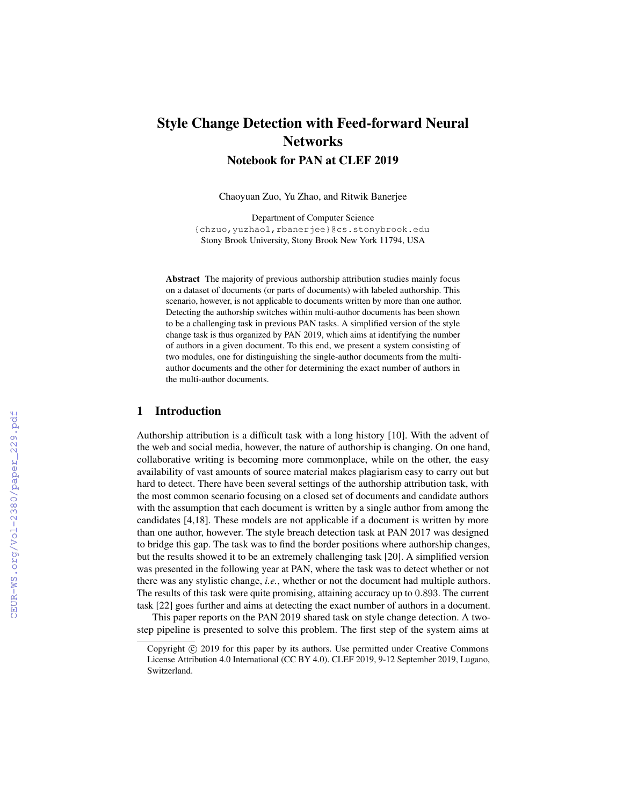# Style Change Detection with Feed-forward Neural **Networks** Notebook for PAN at CLEF 2019

Chaoyuan Zuo, Yu Zhao, and Ritwik Banerjee

Department of Computer Science {chzuo,yuzhao1,rbanerjee}@cs.stonybrook.edu Stony Brook University, Stony Brook New York 11794, USA

Abstract The majority of previous authorship attribution studies mainly focus on a dataset of documents (or parts of documents) with labeled authorship. This scenario, however, is not applicable to documents written by more than one author. Detecting the authorship switches within multi-author documents has been shown to be a challenging task in previous PAN tasks. A simplified version of the style change task is thus organized by PAN 2019, which aims at identifying the number of authors in a given document. To this end, we present a system consisting of two modules, one for distinguishing the single-author documents from the multiauthor documents and the other for determining the exact number of authors in the multi-author documents.

#### 1 Introduction

Authorship attribution is a difficult task with a long history [10]. With the advent of the web and social media, however, the nature of authorship is changing. On one hand, collaborative writing is becoming more commonplace, while on the other, the easy availability of vast amounts of source material makes plagiarism easy to carry out but hard to detect. There have been several settings of the authorship attribution task, with the most common scenario focusing on a closed set of documents and candidate authors with the assumption that each document is written by a single author from among the candidates [4,18]. These models are not applicable if a document is written by more than one author, however. The style breach detection task at PAN 2017 was designed to bridge this gap. The task was to find the border positions where authorship changes, but the results showed it to be an extremely challenging task [20]. A simplified version was presented in the following year at PAN, where the task was to detect whether or not there was any stylistic change, *i.e.*, whether or not the document had multiple authors. The results of this task were quite promising, attaining accuracy up to 0.893. The current task [22] goes further and aims at detecting the exact number of authors in a document.

This paper reports on the PAN 2019 shared task on style change detection. A twostep pipeline is presented to solve this problem. The first step of the system aims at

Copyright  $\odot$  2019 for this paper by its authors. Use permitted under Creative Commons License Attribution 4.0 International (CC BY 4.0). CLEF 2019, 9-12 September 2019, Lugano, Switzerland.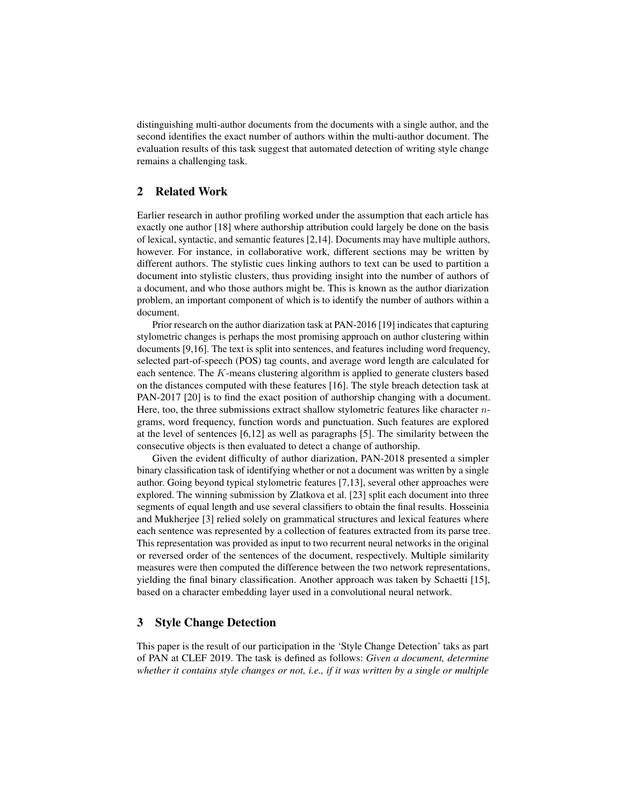distinguishing multi-author documents from the documents with a single author, and the second identifies the exact number of authors within the multi-author document. The evaluation results of this task suggest that automated detection of writing style change remains a challenging task.

# 2 Related Work

Earlier research in author profiling worked under the assumption that each article has exactly one author [18] where authorship attribution could largely be done on the basis of lexical, syntactic, and semantic features [2,14]. Documents may have multiple authors, however. For instance, in collaborative work, different sections may be written by different authors. The stylistic cues linking authors to text can be used to partition a document into stylistic clusters, thus providing insight into the number of authors of a document, and who those authors might be. This is known as the author diarization problem, an important component of which is to identify the number of authors within a document.

Prior research on the author diarization task at PAN-2016 [19] indicates that capturing stylometric changes is perhaps the most promising approach on author clustering within documents [9,16]. The text is split into sentences, and features including word frequency, selected part-of-speech (POS) tag counts, and average word length are calculated for each sentence. The K-means clustering algorithm is applied to generate clusters based on the distances computed with these features [16]. The style breach detection task at PAN-2017 [20] is to find the exact position of authorship changing with a document. Here, too, the three submissions extract shallow stylometric features like character  $n$ grams, word frequency, function words and punctuation. Such features are explored at the level of sentences [6,12] as well as paragraphs [5]. The similarity between the consecutive objects is then evaluated to detect a change of authorship.

Given the evident difficulty of author diarization, PAN-2018 presented a simpler binary classification task of identifying whether or not a document was written by a single author. Going beyond typical stylometric features [7,13], several other approaches were explored. The winning submission by Zlatkova et al. [23] split each document into three segments of equal length and use several classifiers to obtain the final results. Hosseinia and Mukherjee [3] relied solely on grammatical structures and lexical features where each sentence was represented by a collection of features extracted from its parse tree. This representation was provided as input to two recurrent neural networks in the original or reversed order of the sentences of the document, respectively. Multiple similarity measures were then computed the difference between the two network representations, yielding the final binary classification. Another approach was taken by Schaetti [15], based on a character embedding layer used in a convolutional neural network.

## 3 Style Change Detection

This paper is the result of our participation in the 'Style Change Detection' taks as part of PAN at CLEF 2019. The task is defined as follows: *Given a document, determine whether it contains style changes or not, i.e., if it was written by a single or multiple*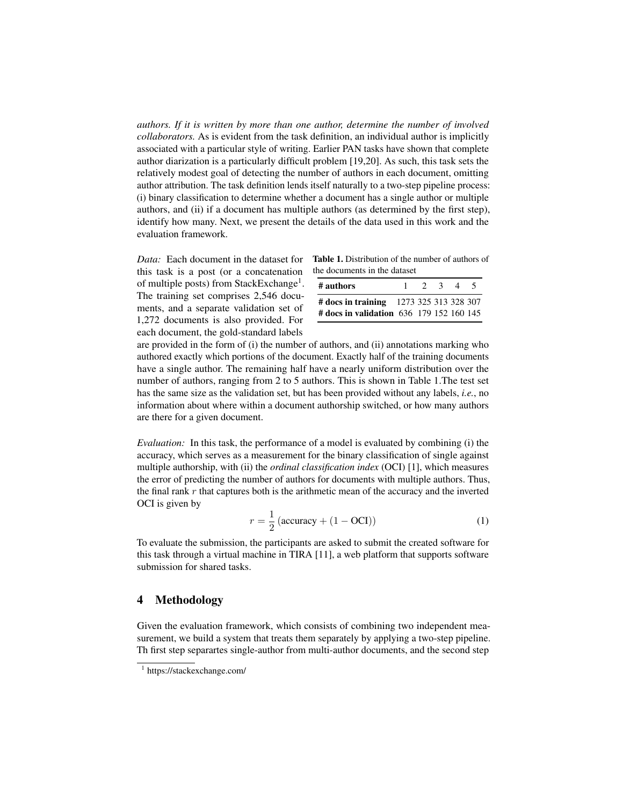*authors. If it is written by more than one author, determine the number of involved collaborators.* As is evident from the task definition, an individual author is implicitly associated with a particular style of writing. Earlier PAN tasks have shown that complete author diarization is a particularly difficult problem [19,20]. As such, this task sets the relatively modest goal of detecting the number of authors in each document, omitting author attribution. The task definition lends itself naturally to a two-step pipeline process: (i) binary classification to determine whether a document has a single author or multiple authors, and (ii) if a document has multiple authors (as determined by the first step), identify how many. Next, we present the details of the data used in this work and the evaluation framework.

*Data:* Each document in the dataset for this task is a post (or a concatenation of multiple posts) from StackExchange<sup>1</sup>. The training set comprises 2,546 documents, and a separate validation set of 1,272 documents is also provided. For each document, the gold-standard labels

| <b>Table 1.</b> Distribution of the number of authors of |
|----------------------------------------------------------|
| the documents in the dataset                             |

| # authors                                |  | $2 \sqrt{3}$ | $\Delta$ | $\overline{\phantom{a}}$ |
|------------------------------------------|--|--------------|----------|--------------------------|
| # docs in training 1273 325 313 328 307  |  |              |          |                          |
| # docs in validation 636 179 152 160 145 |  |              |          |                          |

are provided in the form of (i) the number of authors, and (ii) annotations marking who authored exactly which portions of the document. Exactly half of the training documents have a single author. The remaining half have a nearly uniform distribution over the number of authors, ranging from 2 to 5 authors. This is shown in Table 1.The test set has the same size as the validation set, but has been provided without any labels, *i.e.*, no information about where within a document authorship switched, or how many authors are there for a given document.

*Evaluation:* In this task, the performance of a model is evaluated by combining (i) the accuracy, which serves as a measurement for the binary classification of single against multiple authorship, with (ii) the *ordinal classification index* (OCI) [1], which measures the error of predicting the number of authors for documents with multiple authors. Thus, the final rank  $r$  that captures both is the arithmetic mean of the accuracy and the inverted OCI is given by

$$
r = \frac{1}{2} \left( \text{accuracy} + (1 - \text{OCI}) \right) \tag{1}
$$

To evaluate the submission, the participants are asked to submit the created software for this task through a virtual machine in TIRA [11], a web platform that supports software submission for shared tasks.

## 4 Methodology

Given the evaluation framework, which consists of combining two independent measurement, we build a system that treats them separately by applying a two-step pipeline. Th first step separartes single-author from multi-author documents, and the second step

<sup>1</sup> https://stackexchange.com/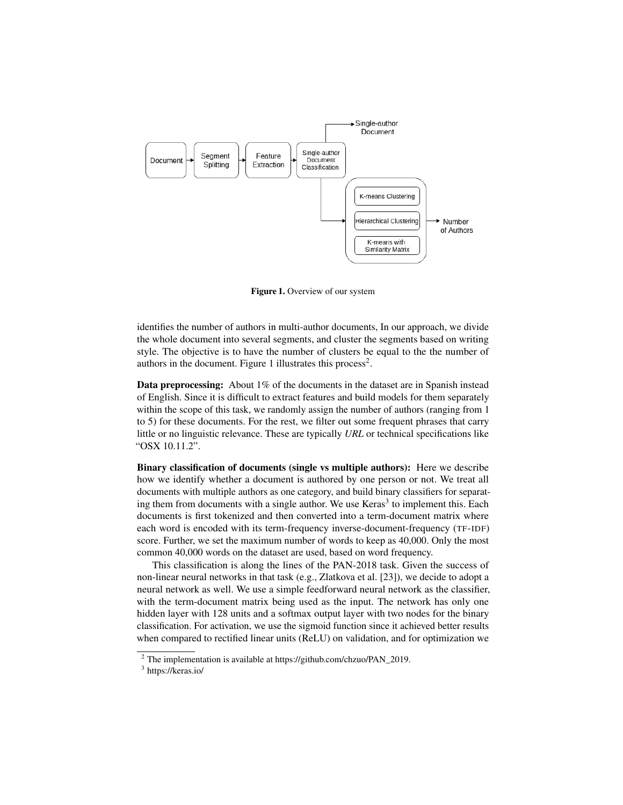

Figure 1. Overview of our system

identifies the number of authors in multi-author documents, In our approach, we divide the whole document into several segments, and cluster the segments based on writing style. The objective is to have the number of clusters be equal to the the number of authors in the document. Figure 1 illustrates this process<sup>2</sup>.

Data preprocessing: About 1% of the documents in the dataset are in Spanish instead of English. Since it is difficult to extract features and build models for them separately within the scope of this task, we randomly assign the number of authors (ranging from 1 to 5) for these documents. For the rest, we filter out some frequent phrases that carry little or no linguistic relevance. These are typically *URL* or technical specifications like "OSX 10.11.2".

Binary classification of documents (single vs multiple authors): Here we describe how we identify whether a document is authored by one person or not. We treat all documents with multiple authors as one category, and build binary classifiers for separating them from documents with a single author. We use  $Keras<sup>3</sup>$  to implement this. Each documents is first tokenized and then converted into a term-document matrix where each word is encoded with its term-frequency inverse-document-frequency (TF-IDF) score. Further, we set the maximum number of words to keep as 40,000. Only the most common 40,000 words on the dataset are used, based on word frequency.

This classification is along the lines of the PAN-2018 task. Given the success of non-linear neural networks in that task (e.g., Zlatkova et al. [23]), we decide to adopt a neural network as well. We use a simple feedforward neural network as the classifier, with the term-document matrix being used as the input. The network has only one hidden layer with 128 units and a softmax output layer with two nodes for the binary classification. For activation, we use the sigmoid function since it achieved better results when compared to rectified linear units (ReLU) on validation, and for optimization we

<sup>2</sup> The implementation is available at https://github.com/chzuo/PAN\_2019.

<sup>3</sup> https://keras.io/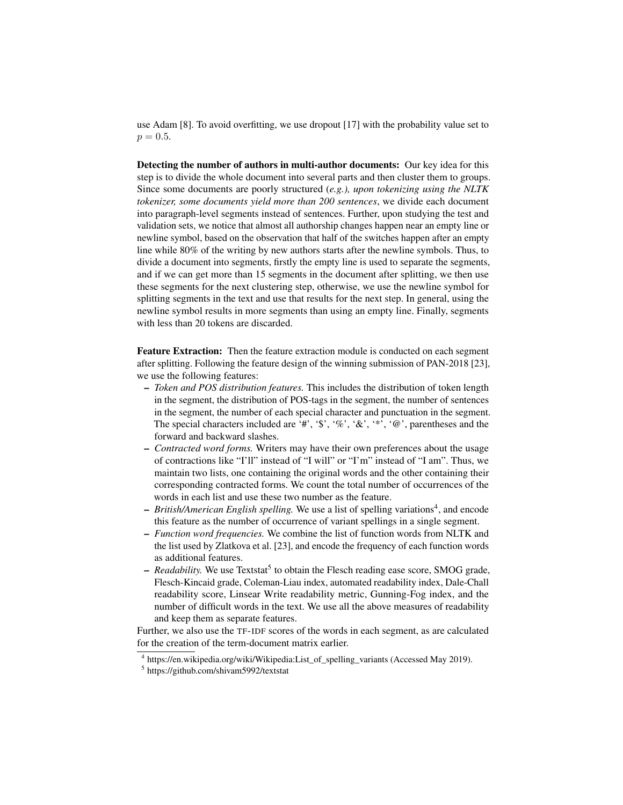use Adam [8]. To avoid overfitting, we use dropout [17] with the probability value set to  $p = 0.5$ .

Detecting the number of authors in multi-author documents: Our key idea for this step is to divide the whole document into several parts and then cluster them to groups. Since some documents are poorly structured (*e.g.), upon tokenizing using the NLTK tokenizer, some documents yield more than 200 sentences*, we divide each document into paragraph-level segments instead of sentences. Further, upon studying the test and validation sets, we notice that almost all authorship changes happen near an empty line or newline symbol, based on the observation that half of the switches happen after an empty line while 80% of the writing by new authors starts after the newline symbols. Thus, to divide a document into segments, firstly the empty line is used to separate the segments, and if we can get more than 15 segments in the document after splitting, we then use these segments for the next clustering step, otherwise, we use the newline symbol for splitting segments in the text and use that results for the next step. In general, using the newline symbol results in more segments than using an empty line. Finally, segments with less than 20 tokens are discarded.

Feature Extraction: Then the feature extraction module is conducted on each segment after splitting. Following the feature design of the winning submission of PAN-2018 [23], we use the following features:

- *Token and POS distribution features.* This includes the distribution of token length in the segment, the distribution of POS-tags in the segment, the number of sentences in the segment, the number of each special character and punctuation in the segment. The special characters included are '#', '\$', '%', '&', '\*', '@', parentheses and the forward and backward slashes.
- *Contracted word forms.* Writers may have their own preferences about the usage of contractions like "I'll" instead of "I will" or "I'm" instead of "I am". Thus, we maintain two lists, one containing the original words and the other containing their corresponding contracted forms. We count the total number of occurrences of the words in each list and use these two number as the feature.
- *British/American English spelling*. We use a list of spelling variations<sup>4</sup>, and encode this feature as the number of occurrence of variant spellings in a single segment.
- *Function word frequencies.* We combine the list of function words from NLTK and the list used by Zlatkova et al. [23], and encode the frequency of each function words as additional features.
- *Readability*. We use Textstat<sup>5</sup> to obtain the Flesch reading ease score, SMOG grade, Flesch-Kincaid grade, Coleman-Liau index, automated readability index, Dale-Chall readability score, Linsear Write readability metric, Gunning-Fog index, and the number of difficult words in the text. We use all the above measures of readability and keep them as separate features.

Further, we also use the TF-IDF scores of the words in each segment, as are calculated for the creation of the term-document matrix earlier.

<sup>4</sup> https://en.wikipedia.org/wiki/Wikipedia:List\_of\_spelling\_variants (Accessed May 2019).

<sup>5</sup> https://github.com/shivam5992/textstat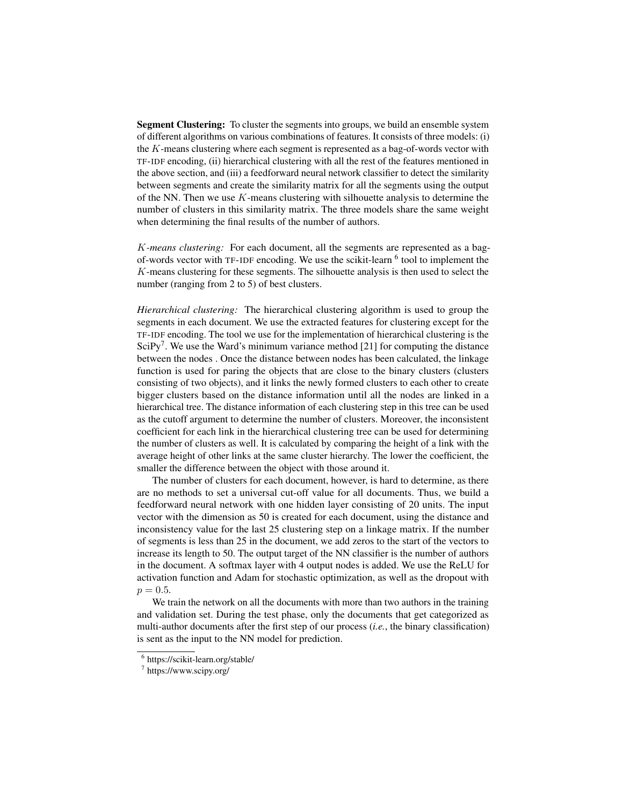Segment Clustering: To cluster the segments into groups, we build an ensemble system of different algorithms on various combinations of features. It consists of three models: (i) the K-means clustering where each segment is represented as a bag-of-words vector with TF-IDF encoding, (ii) hierarchical clustering with all the rest of the features mentioned in the above section, and (iii) a feedforward neural network classifier to detect the similarity between segments and create the similarity matrix for all the segments using the output of the NN. Then we use  $K$ -means clustering with silhouette analysis to determine the number of clusters in this similarity matrix. The three models share the same weight when determining the final results of the number of authors.

K*-means clustering:* For each document, all the segments are represented as a bagof-words vector with TF-IDF encoding. We use the scikit-learn <sup>6</sup> tool to implement the K-means clustering for these segments. The silhouette analysis is then used to select the number (ranging from 2 to 5) of best clusters.

*Hierarchical clustering:* The hierarchical clustering algorithm is used to group the segments in each document. We use the extracted features for clustering except for the TF-IDF encoding. The tool we use for the implementation of hierarchical clustering is the SciPy<sup>7</sup>. We use the Ward's minimum variance method [21] for computing the distance between the nodes . Once the distance between nodes has been calculated, the linkage function is used for paring the objects that are close to the binary clusters (clusters consisting of two objects), and it links the newly formed clusters to each other to create bigger clusters based on the distance information until all the nodes are linked in a hierarchical tree. The distance information of each clustering step in this tree can be used as the cutoff argument to determine the number of clusters. Moreover, the inconsistent coefficient for each link in the hierarchical clustering tree can be used for determining the number of clusters as well. It is calculated by comparing the height of a link with the average height of other links at the same cluster hierarchy. The lower the coefficient, the smaller the difference between the object with those around it.

The number of clusters for each document, however, is hard to determine, as there are no methods to set a universal cut-off value for all documents. Thus, we build a feedforward neural network with one hidden layer consisting of 20 units. The input vector with the dimension as 50 is created for each document, using the distance and inconsistency value for the last 25 clustering step on a linkage matrix. If the number of segments is less than 25 in the document, we add zeros to the start of the vectors to increase its length to 50. The output target of the NN classifier is the number of authors in the document. A softmax layer with 4 output nodes is added. We use the ReLU for activation function and Adam for stochastic optimization, as well as the dropout with  $p = 0.5$ .

We train the network on all the documents with more than two authors in the training and validation set. During the test phase, only the documents that get categorized as multi-author documents after the first step of our process (*i.e.*, the binary classification) is sent as the input to the NN model for prediction.

<sup>6</sup> https://scikit-learn.org/stable/

<sup>7</sup> https://www.scipy.org/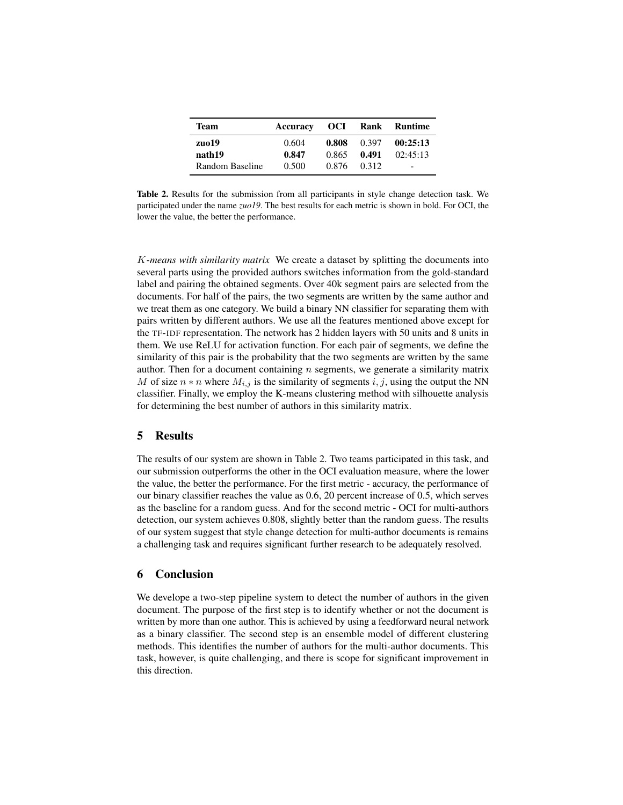| Team            | Accuracy | OCI – |       | Rank Runtime                 |
|-----------------|----------|-------|-------|------------------------------|
| zuo19           | 0.604    | 0.808 | 0.397 | 00:25:13                     |
| nath19          | 0.847    | 0.865 | 0.491 | 02:45:13                     |
| Random Baseline | 0.500    | 0.876 | 0.312 | $\qquad \qquad \blacksquare$ |

Table 2. Results for the submission from all participants in style change detection task. We participated under the name *zuo19*. The best results for each metric is shown in bold. For OCI, the lower the value, the better the performance.

K*-means with similarity matrix* We create a dataset by splitting the documents into several parts using the provided authors switches information from the gold-standard label and pairing the obtained segments. Over 40k segment pairs are selected from the documents. For half of the pairs, the two segments are written by the same author and we treat them as one category. We build a binary NN classifier for separating them with pairs written by different authors. We use all the features mentioned above except for the TF-IDF representation. The network has 2 hidden layers with 50 units and 8 units in them. We use ReLU for activation function. For each pair of segments, we define the similarity of this pair is the probability that the two segments are written by the same author. Then for a document containing  $n$  segments, we generate a similarity matrix M of size  $n * n$  where  $M_{i,j}$  is the similarity of segments  $i, j$ , using the output the NN classifier. Finally, we employ the K-means clustering method with silhouette analysis for determining the best number of authors in this similarity matrix.

# 5 Results

The results of our system are shown in Table 2. Two teams participated in this task, and our submission outperforms the other in the OCI evaluation measure, where the lower the value, the better the performance. For the first metric - accuracy, the performance of our binary classifier reaches the value as 0.6, 20 percent increase of 0.5, which serves as the baseline for a random guess. And for the second metric - OCI for multi-authors detection, our system achieves 0.808, slightly better than the random guess. The results of our system suggest that style change detection for multi-author documents is remains a challenging task and requires significant further research to be adequately resolved.

## 6 Conclusion

We develope a two-step pipeline system to detect the number of authors in the given document. The purpose of the first step is to identify whether or not the document is written by more than one author. This is achieved by using a feedforward neural network as a binary classifier. The second step is an ensemble model of different clustering methods. This identifies the number of authors for the multi-author documents. This task, however, is quite challenging, and there is scope for significant improvement in this direction.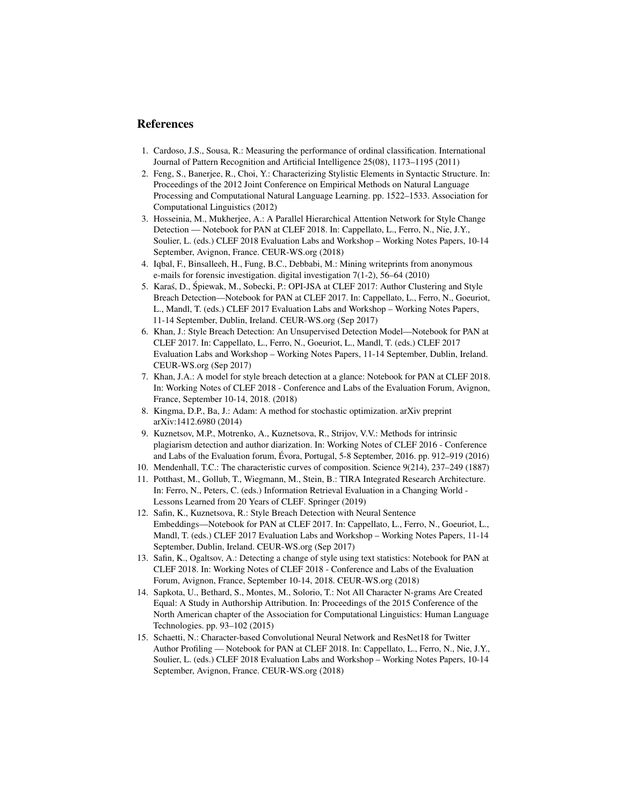#### References

- 1. Cardoso, J.S., Sousa, R.: Measuring the performance of ordinal classification. International Journal of Pattern Recognition and Artificial Intelligence 25(08), 1173–1195 (2011)
- 2. Feng, S., Banerjee, R., Choi, Y.: Characterizing Stylistic Elements in Syntactic Structure. In: Proceedings of the 2012 Joint Conference on Empirical Methods on Natural Language Processing and Computational Natural Language Learning. pp. 1522–1533. Association for Computational Linguistics (2012)
- 3. Hosseinia, M., Mukherjee, A.: A Parallel Hierarchical Attention Network for Style Change Detection — Notebook for PAN at CLEF 2018. In: Cappellato, L., Ferro, N., Nie, J.Y., Soulier, L. (eds.) CLEF 2018 Evaluation Labs and Workshop – Working Notes Papers, 10-14 September, Avignon, France. CEUR-WS.org (2018)
- 4. Iqbal, F., Binsalleeh, H., Fung, B.C., Debbabi, M.: Mining writeprints from anonymous e-mails for forensic investigation. digital investigation 7(1-2), 56–64 (2010)
- 5. Karaś, D., Śpiewak, M., Sobecki, P.: OPI-JSA at CLEF 2017: Author Clustering and Style Breach Detection—Notebook for PAN at CLEF 2017. In: Cappellato, L., Ferro, N., Goeuriot, L., Mandl, T. (eds.) CLEF 2017 Evaluation Labs and Workshop – Working Notes Papers, 11-14 September, Dublin, Ireland. CEUR-WS.org (Sep 2017)
- 6. Khan, J.: Style Breach Detection: An Unsupervised Detection Model—Notebook for PAN at CLEF 2017. In: Cappellato, L., Ferro, N., Goeuriot, L., Mandl, T. (eds.) CLEF 2017 Evaluation Labs and Workshop – Working Notes Papers, 11-14 September, Dublin, Ireland. CEUR-WS.org (Sep 2017)
- 7. Khan, J.A.: A model for style breach detection at a glance: Notebook for PAN at CLEF 2018. In: Working Notes of CLEF 2018 - Conference and Labs of the Evaluation Forum, Avignon, France, September 10-14, 2018. (2018)
- 8. Kingma, D.P., Ba, J.: Adam: A method for stochastic optimization. arXiv preprint arXiv:1412.6980 (2014)
- 9. Kuznetsov, M.P., Motrenko, A., Kuznetsova, R., Strijov, V.V.: Methods for intrinsic plagiarism detection and author diarization. In: Working Notes of CLEF 2016 - Conference and Labs of the Evaluation forum, Évora, Portugal, 5-8 September, 2016. pp. 912–919 (2016)
- 10. Mendenhall, T.C.: The characteristic curves of composition. Science 9(214), 237–249 (1887)
- 11. Potthast, M., Gollub, T., Wiegmann, M., Stein, B.: TIRA Integrated Research Architecture. In: Ferro, N., Peters, C. (eds.) Information Retrieval Evaluation in a Changing World - Lessons Learned from 20 Years of CLEF. Springer (2019)
- 12. Safin, K., Kuznetsova, R.: Style Breach Detection with Neural Sentence Embeddings—Notebook for PAN at CLEF 2017. In: Cappellato, L., Ferro, N., Goeuriot, L., Mandl, T. (eds.) CLEF 2017 Evaluation Labs and Workshop – Working Notes Papers, 11-14 September, Dublin, Ireland. CEUR-WS.org (Sep 2017)
- 13. Safin, K., Ogaltsov, A.: Detecting a change of style using text statistics: Notebook for PAN at CLEF 2018. In: Working Notes of CLEF 2018 - Conference and Labs of the Evaluation Forum, Avignon, France, September 10-14, 2018. CEUR-WS.org (2018)
- 14. Sapkota, U., Bethard, S., Montes, M., Solorio, T.: Not All Character N-grams Are Created Equal: A Study in Authorship Attribution. In: Proceedings of the 2015 Conference of the North American chapter of the Association for Computational Linguistics: Human Language Technologies. pp. 93–102 (2015)
- 15. Schaetti, N.: Character-based Convolutional Neural Network and ResNet18 for Twitter Author Profiling — Notebook for PAN at CLEF 2018. In: Cappellato, L., Ferro, N., Nie, J.Y., Soulier, L. (eds.) CLEF 2018 Evaluation Labs and Workshop – Working Notes Papers, 10-14 September, Avignon, France. CEUR-WS.org (2018)